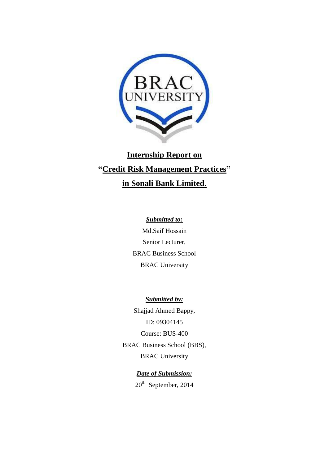

# **Internship Report on "Credit Risk Management Practices" in Sonali Bank Limited.**

# *Submitted to:*

Md.Saif Hossain Senior Lecturer, BRAC Business School BRAC University

*Submitted by:* Shajjad Ahmed Bappy, ID: 09304145 Course: BUS-400 BRAC Business School (BBS), BRAC University

> *Date of Submission:* 20<sup>th</sup> September, 2014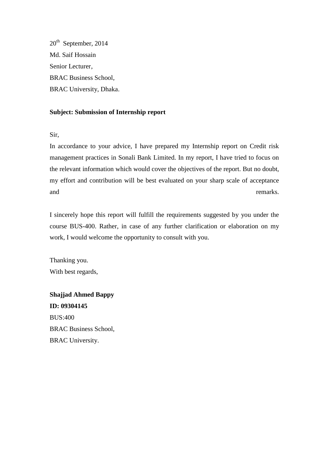20<sup>th</sup> September, 2014 Md. Saif Hossain Senior Lecturer, BRAC Business School, BRAC University, Dhaka.

# **Subject: Submission of Internship report**

Sir,

In accordance to your advice, I have prepared my Internship report on Credit risk management practices in Sonali Bank Limited. In my report, I have tried to focus on the relevant information which would cover the objectives of the report. But no doubt, my effort and contribution will be best evaluated on your sharp scale of acceptance and remarks.

I sincerely hope this report will fulfill the requirements suggested by you under the course BUS-400. Rather, in case of any further clarification or elaboration on my work, I would welcome the opportunity to consult with you.

Thanking you. With best regards,

**Shajjad Ahmed Bappy ID: 09304145** BUS:400 BRAC Business School, BRAC University.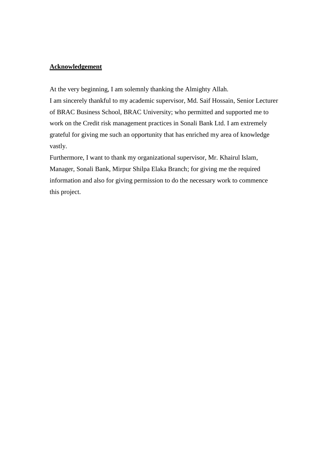# **Acknowledgement**

At the very beginning, I am solemnly thanking the Almighty Allah. I am sincerely thankful to my academic supervisor, Md. Saif Hossain, Senior Lecturer of BRAC Business School, BRAC University; who permitted and supported me to work on the Credit risk management practices in Sonali Bank Ltd. I am extremely grateful for giving me such an opportunity that has enriched my area of knowledge vastly.

Furthermore, I want to thank my organizational supervisor, Mr. Khairul Islam, Manager, Sonali Bank, Mirpur Shilpa Elaka Branch; for giving me the required information and also for giving permission to do the necessary work to commence this project.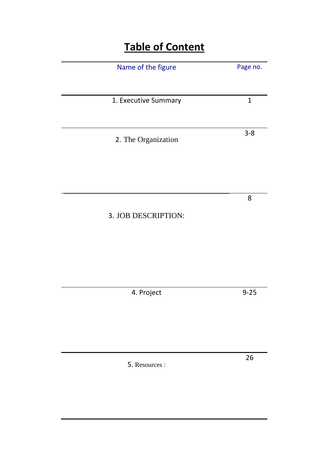# **Table of Content**

| Name of the figure   | Page no.     |
|----------------------|--------------|
|                      |              |
| 1. Executive Summary | $\mathbf{1}$ |
|                      |              |
| 2. The Organization  | $3 - 8$      |
|                      |              |
|                      |              |
|                      | 8            |
| 3. JOB DESCRIPTION:  |              |
|                      |              |
|                      |              |
|                      |              |
|                      |              |
| 4. Project           | $9 - 25$     |
|                      |              |
|                      |              |
|                      | 26           |
| 5. Resources :       |              |
|                      |              |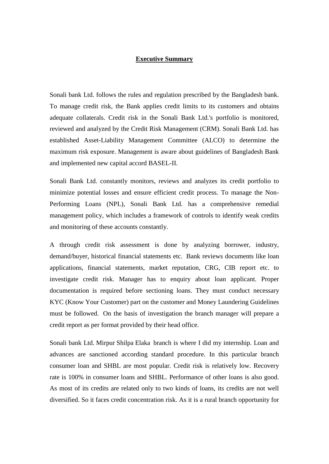#### **Executive Summary**

Sonali bank Ltd. follows the rules and regulation prescribed by the Bangladesh bank. To manage credit risk, the Bank applies credit limits to its customers and obtains adequate collaterals. Credit risk in the Sonali Bank Ltd.'s portfolio is monitored, reviewed and analyzed by the Credit Risk Management (CRM). Sonali Bank Ltd. has established Asset-Liability Management Committee (ALCO) to determine the maximum risk exposure. Management is aware about guidelines of Bangladesh Bank and implemented new capital accord BASEL-II.

Sonali Bank Ltd. constantly monitors, reviews and analyzes its credit portfolio to minimize potential losses and ensure efficient credit process. To manage the Non-Performing Loans (NPL), Sonali Bank Ltd. has a comprehensive remedial management policy, which includes a framework of controls to identify weak credits and monitoring of these accounts constantly.

A through credit risk assessment is done by analyzing borrower, industry, demand/buyer, historical financial statements etc. Bank reviews documents like loan applications, financial statements, market reputation, CRG, CIB report etc. to investigate credit risk. Manager has to enquiry about loan applicant. Proper documentation is required before sectioning loans. They must conduct necessary KYC (Know Your Customer) part on the customer and Money Laundering Guidelines must be followed. On the basis of investigation the branch manager will prepare a credit report as per format provided by their head office.

Sonali bank Ltd. Mirpur Shilpa Elaka branch is where I did my internship. Loan and advances are sanctioned according standard procedure. In this particular branch consumer loan and SHBL are most popular. Credit risk is relatively low. Recovery rate is 100% in consumer loans and SHBL. Performance of other loans is also good. As most of its credits are related only to two kinds of loans, its credits are not well diversified. So it faces credit concentration risk. As it is a rural branch opportunity for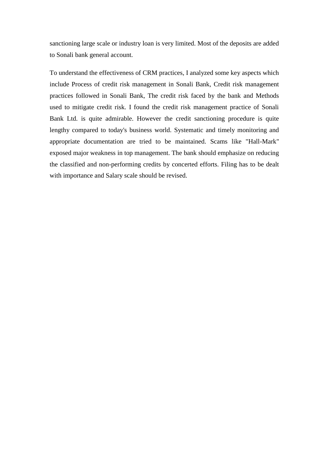sanctioning large scale or industry loan is very limited. Most of the deposits are added to Sonali bank general account.

To understand the effectiveness of CRM practices, I analyzed some key aspects which include Process of credit risk management in Sonali Bank, Credit risk management practices followed in Sonali Bank, The credit risk faced by the bank and Methods used to mitigate credit risk. I found the credit risk management practice of Sonali Bank Ltd. is quite admirable. However the credit sanctioning procedure is quite lengthy compared to today's business world. Systematic and timely monitoring and appropriate documentation are tried to be maintained. Scams like "Hall-Mark" exposed major weakness in top management. The bank should emphasize on reducing the classified and non-performing credits by concerted efforts. Filing has to be dealt with importance and Salary scale should be revised.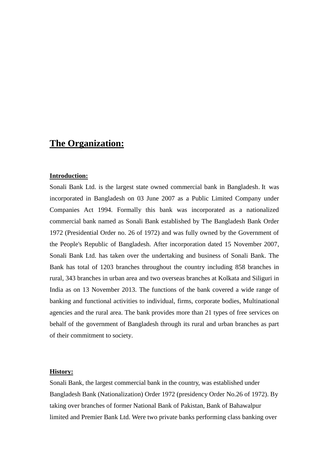# **The Organization:**

#### **Introduction:**

Sonali Bank Ltd. is the largest state owned commercial bank in Bangladesh. It was incorporated in Bangladesh on 03 June 2007 as a Public Limited Company under Companies Act 1994. Formally this bank was incorporated as a nationalized commercial bank named as Sonali Bank established by The Bangladesh Bank Order 1972 (Presidential Order no. 26 of 1972) and was fully owned by the Government of the People's Republic of Bangladesh. After incorporation dated 15 November 2007, Sonali Bank Ltd. has taken over the undertaking and business of Sonali Bank. The Bank has total of 1203 branches throughout the country including 858 branches in rural, 343 branches in urban area and two overseas branches at Kolkata and Siliguri in India as on 13 November 2013. The functions of the bank covered a wide range of banking and functional activities to individual, firms, corporate bodies, Multinational agencies and the rural area. The bank provides more than 21 types of free services on behalf of the government of Bangladesh through its rural and urban branches as part of their commitment to society.

#### **History:**

Sonali Bank, the largest commercial bank in the country, was established under Bangladesh Bank (Nationalization) Order 1972 (presidency Order No.26 of 1972). By taking over branches of former National Bank of Pakistan, Bank of Bahawalpur limited and Premier Bank Ltd. Were two private banks performing class banking over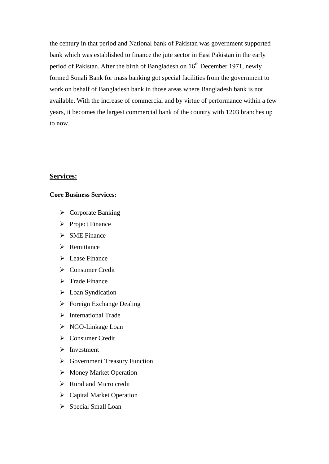the century in that period and National bank of Pakistan was government supported bank which was established to finance the jute sector in East Pakistan in the early period of Pakistan. After the birth of Bangladesh on  $16<sup>th</sup>$  December 1971, newly formed Sonali Bank for mass banking got special facilities from the government to work on behalf of Bangladesh bank in those areas where Bangladesh bank is not available. With the increase of commercial and by virtue of performance within a few years, it becomes the largest commercial bank of the country with 1203 branches up to now.

# **Services:**

#### **Core Business Services:**

- $\triangleright$  Corporate Banking
- $\triangleright$  Project Finance
- $\triangleright$  SME Finance
- $\triangleright$  Remittance
- $\triangleright$  Lease Finance
- Consumer Credit
- $\triangleright$  Trade Finance
- $\triangleright$  Loan Syndication
- $\triangleright$  Foreign Exchange Dealing
- $\triangleright$  International Trade
- $\triangleright$  NGO-Linkage Loan
- Consumer Credit
- $\triangleright$  Investment
- Government Treasury Function
- > Money Market Operation
- $\triangleright$  Rural and Micro credit
- Capital Market Operation
- $\triangleright$  Special Small Loan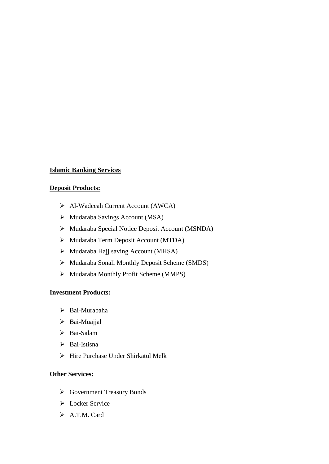# **Islamic Banking Services**

# **Deposit Products:**

- Al-Wadeeah Current Account (AWCA)
- Mudaraba Savings Account (MSA)
- Mudaraba Special Notice Deposit Account (MSNDA)
- Mudaraba Term Deposit Account (MTDA)
- Mudaraba Hajj saving Account (MHSA)
- Mudaraba Sonali Monthly Deposit Scheme (SMDS)
- Mudaraba Monthly Profit Scheme (MMPS)

# **Investment Products:**

- Bai-Murabaha
- > Bai-Muajjal
- > Bai-Salam
- > Bai-Istisna
- $\triangleright$  Hire Purchase Under Shirkatul Melk

# **Other Services:**

- Government Treasury Bonds
- $\triangleright$  Locker Service
- $\triangleright$  A.T.M. Card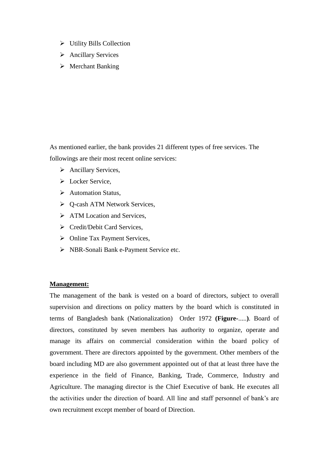- $\triangleright$  Utility Bills Collection
- > Ancillary Services
- $\triangleright$  Merchant Banking

As mentioned earlier, the bank provides 21 different types of free services. The followings are their most recent online services:

- $\triangleright$  Ancillary Services,
- $\triangleright$  Locker Service.
- $\triangleright$  Automation Status,
- Q-cash ATM Network Services,
- $\triangleright$  ATM Location and Services.
- Credit/Debit Card Services,
- Online Tax Payment Services,
- > NBR-Sonali Bank e-Payment Service etc.

# **Management:**

The management of the bank is vested on a board of directors, subject to overall supervision and directions on policy matters by the board which is constituted in terms of Bangladesh bank (Nationalization) Order 1972 **(Figure-**.....**)**. Board of directors, constituted by seven members has authority to organize, operate and manage its affairs on commercial consideration within the board policy of government. There are directors appointed by the government. Other members of the board including MD are also government appointed out of that at least three have the experience in the field of Finance, Banking, Trade, Commerce, Industry and Agriculture. The managing director is the Chief Executive of bank. He executes all the activities under the direction of board. All line and staff personnel of bank's are own recruitment except member of board of Direction.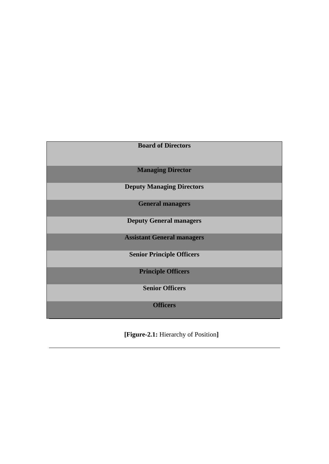| <b>Board of Directors</b>         |
|-----------------------------------|
| <b>Managing Director</b>          |
| <b>Deputy Managing Directors</b>  |
| <b>General managers</b>           |
| <b>Deputy General managers</b>    |
| <b>Assistant General managers</b> |
| <b>Senior Principle Officers</b>  |
| <b>Principle Officers</b>         |
| <b>Senior Officers</b>            |
| <b>Officers</b>                   |

 **[Figure-2.1:** Hierarchy of Position**]**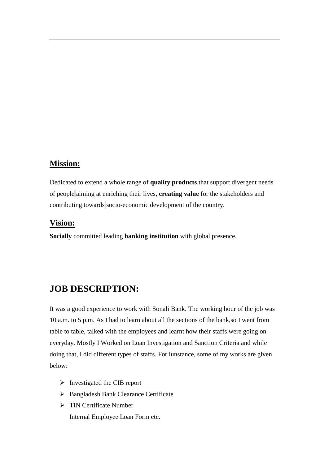# **Mission:**

Dedicated to extend a whole range of **quality products** that support divergent needs of people aiming at enriching their lives, **creating value** for the stakeholders and contributing towards socio-economic development of the country.

# **Vision:**

**Socially** committed leading **banking institution** with global presence.

# **JOB DESCRIPTION:**

It was a good experience to work with Sonali Bank. The working hour of the job was 10 a.m. to 5 p.m. As I had to learn about all the sections of the bank,so I went from table to table, talked with the employees and learnt how their staffs were going on everyday. Mostly I Worked on Loan Investigation and Sanction Criteria and while doing that, I did different types of staffs. For iunstance, some of my works are given below:

- $\triangleright$  Investigated the CIB report
- > Bangladesh Bank Clearance Certificate
- $\triangleright$  TIN Certificate Number Internal Employee Loan Form etc.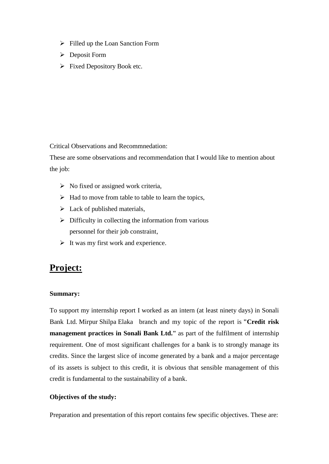- $\triangleright$  Filled up the Loan Sanction Form
- Deposit Form
- $\triangleright$  Fixed Depository Book etc.

Critical Observations and Recommnedation:

These are some observations and recommendation that I would like to mention about the job:

- $\triangleright$  No fixed or assigned work criteria,
- $\triangleright$  Had to move from table to table to learn the topics,
- $\triangleright$  Lack of published materials,
- $\triangleright$  Difficulty in collecting the information from various personnel for their job constraint,
- $\triangleright$  It was my first work and experience.

# **Project:**

# **Summary:**

To support my internship report I worked as an intern (at least ninety days) in Sonali Bank Ltd. Mirpur Shilpa Elaka branch and my topic of the report is **"Credit risk management practices in Sonali Bank Ltd."** as part of the fulfilment of internship requirement. One of most significant challenges for a bank is to strongly manage its credits. Since the largest slice of income generated by a bank and a major percentage of its assets is subject to this credit, it is obvious that sensible management of this credit is fundamental to the sustainability of a bank.

# **Objectives of the study:**

Preparation and presentation of this report contains few specific objectives. These are: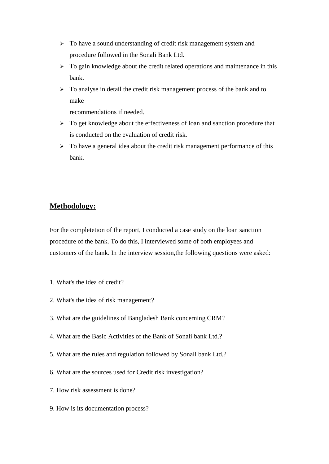- $\triangleright$  To have a sound understanding of credit risk management system and procedure followed in the Sonali Bank Ltd.
- $\triangleright$  To gain knowledge about the credit related operations and maintenance in this bank.
- $\triangleright$  To analyse in detail the credit risk management process of the bank and to make

recommendations if needed.

- $\triangleright$  To get knowledge about the effectiveness of loan and sanction procedure that is conducted on the evaluation of credit risk.
- $\triangleright$  To have a general idea about the credit risk management performance of this bank.

# **Methodology:**

For the completetion of the report, I conducted a case study on the loan sanction procedure of the bank. To do this, I interviewed some of both employees and customers of the bank. In the interview session,the following questions were asked:

- 1. What's the idea of credit?
- 2. What's the idea of risk management?
- 3. What are the guidelines of Bangladesh Bank concerning CRM?
- 4. What are the Basic Activities of the Bank of Sonali bank Ltd.?
- 5. What are the rules and regulation followed by Sonali bank Ltd.?
- 6. What are the sources used for Credit risk investigation?
- 7. How risk assessment is done?
- 9. How is its documentation process?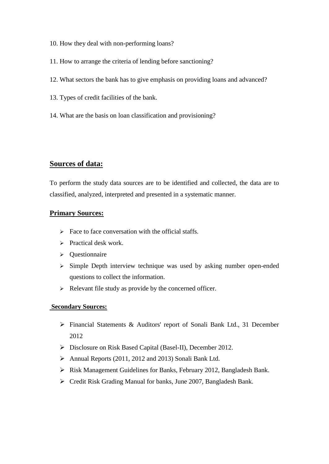- 10. How they deal with non-performing loans?
- 11. How to arrange the criteria of lending before sanctioning?
- 12. What sectors the bank has to give emphasis on providing loans and advanced?
- 13. Types of credit facilities of the bank.
- 14. What are the basis on loan classification and provisioning?

# **Sources of data:**

To perform the study data sources are to be identified and collected, the data are to classified, analyzed, interpreted and presented in a systematic manner.

#### **Primary Sources:**

- $\triangleright$  Face to face conversation with the official staffs.
- $\triangleright$  Practical desk work.
- Questionnaire
- $\geq$  Simple Depth interview technique was used by asking number open-ended questions to collect the information.
- $\triangleright$  Relevant file study as provide by the concerned officer.

#### **Secondary Sources:**

- Financial Statements & Auditors' report of Sonali Bank Ltd., 31 December 2012
- Disclosure on Risk Based Capital (Basel-II), December 2012.
- Annual Reports (2011, 2012 and 2013) Sonali Bank Ltd.
- Risk Management Guidelines for Banks, February 2012, Bangladesh Bank.
- Credit Risk Grading Manual for banks, June 2007, Bangladesh Bank.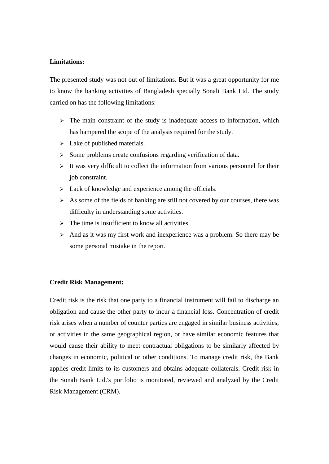#### **Limitations:**

The presented study was not out of limitations. But it was a great opportunity for me to know the banking activities of Bangladesh specially Sonali Bank Ltd. The study carried on has the following limitations:

- $\triangleright$  The main constraint of the study is inadequate access to information, which has hampered the scope of the analysis required for the study.
- $\triangleright$  Lake of published materials.
- $\triangleright$  Some problems create confusions regarding verification of data.
- $\triangleright$  It was very difficult to collect the information from various personnel for their job constraint.
- $\triangleright$  Lack of knowledge and experience among the officials.
- $\triangleright$  As some of the fields of banking are still not covered by our courses, there was difficulty in understanding some activities.
- $\triangleright$  The time is insufficient to know all activities.
- $\triangleright$  And as it was my first work and inexperience was a problem. So there may be some personal mistake in the report.

#### **Credit Risk Management:**

Credit risk is the risk that one party to a financial instrument will fail to discharge an obligation and cause the other party to incur a financial loss. Concentration of credit risk arises when a number of counter parties are engaged in similar business activities, or activities in the same geographical region, or have similar economic features that would cause their ability to meet contractual obligations to be similarly affected by changes in economic, political or other conditions. To manage credit risk, the Bank applies credit limits to its customers and obtains adequate collaterals. Credit risk in the Sonali Bank Ltd.'s portfolio is monitored, reviewed and analyzed by the Credit Risk Management (CRM).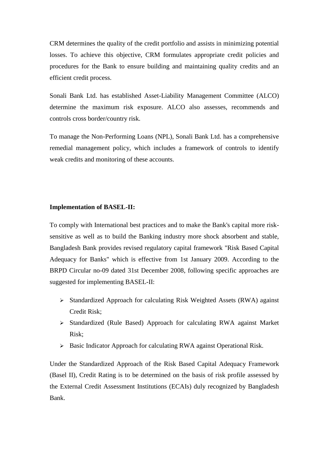CRM determines the quality of the credit portfolio and assists in minimizing potential losses. To achieve this objective, CRM formulates appropriate credit policies and procedures for the Bank to ensure building and maintaining quality credits and an efficient credit process.

Sonali Bank Ltd. has established Asset-Liability Management Committee (ALCO) determine the maximum risk exposure. ALCO also assesses, recommends and controls cross border/country risk.

To manage the Non-Performing Loans (NPL), Sonali Bank Ltd. has a comprehensive remedial management policy, which includes a framework of controls to identify weak credits and monitoring of these accounts.

#### **Implementation of BASEL-II:**

To comply with International best practices and to make the Bank's capital more risksensitive as well as to build the Banking industry more shock absorbent and stable, Bangladesh Bank provides revised regulatory capital framework "Risk Based Capital Adequacy for Banks" which is effective from 1st January 2009. According to the BRPD Circular no-09 dated 31st December 2008, following specific approaches are suggested for implementing BASEL-II:

- $\triangleright$  Standardized Approach for calculating Risk Weighted Assets (RWA) against Credit Risk;
- $\triangleright$  Standardized (Rule Based) Approach for calculating RWA against Market Risk;
- Basic Indicator Approach for calculating RWA against Operational Risk.

Under the Standardized Approach of the Risk Based Capital Adequacy Framework (Basel II), Credit Rating is to be determined on the basis of risk profile assessed by the External Credit Assessment Institutions (ECAIs) duly recognized by Bangladesh Bank.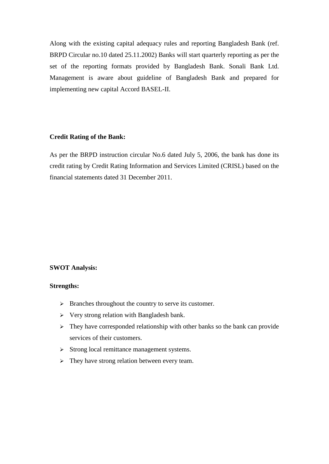Along with the existing capital adequacy rules and reporting Bangladesh Bank (ref. BRPD Circular no.10 dated 25.11.2002) Banks will start quarterly reporting as per the set of the reporting formats provided by Bangladesh Bank. Sonali Bank Ltd. Management is aware about guideline of Bangladesh Bank and prepared for implementing new capital Accord BASEL-II.

# **Credit Rating of the Bank:**

As per the BRPD instruction circular No.6 dated July 5, 2006, the bank has done its credit rating by Credit Rating Information and Services Limited (CRISL) based on the financial statements dated 31 December 2011.

# **SWOT Analysis:**

#### **Strengths:**

- > Branches throughout the country to serve its customer.
- $\triangleright$  Very strong relation with Bangladesh bank.
- $\triangleright$  They have corresponded relationship with other banks so the bank can provide services of their customers.
- $\triangleright$  Strong local remittance management systems.
- $\triangleright$  They have strong relation between every team.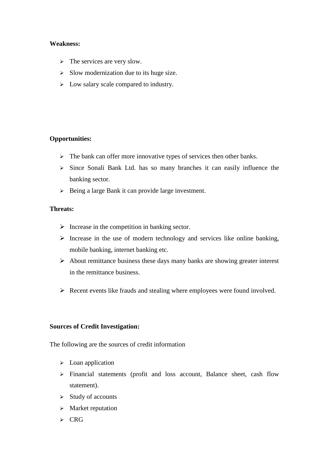# **Weakness:**

- $\triangleright$  The services are very slow.
- $\triangleright$  Slow modernization due to its huge size.
- $\geq$  Low salary scale compared to industry.

# **Opportunities:**

- $\triangleright$  The bank can offer more innovative types of services then other banks.
- $\triangleright$  Since Sonali Bank Ltd. has so many branches it can easily influence the banking sector.
- $\triangleright$  Being a large Bank it can provide large investment.

# **Threats:**

- $\triangleright$  Increase in the competition in banking sector.
- $\triangleright$  Increase in the use of modern technology and services like online banking, mobile banking, internet banking etc.
- $\triangleright$  About remittance business these days many banks are showing greater interest in the remittance business.
- $\triangleright$  Recent events like frauds and stealing where employees were found involved.

# **Sources of Credit Investigation:**

The following are the sources of credit information

- $\triangleright$  Loan application
- Financial statements (profit and loss account, Balance sheet, cash flow statement).
- $\triangleright$  Study of accounts
- $\triangleright$  Market reputation
- $\triangleright$  CRG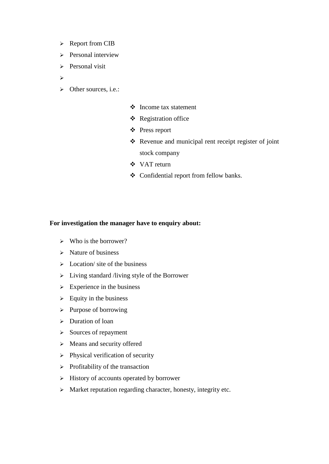- > Report from CIB
- $\triangleright$  Personal interview
- $\triangleright$  Personal visit
- $\blacktriangleright$
- $\triangleright$  Other sources, i.e.:
- Income tax statement
- Registration office
- Press report
- \* Revenue and municipal rent receipt register of joint stock company
- VAT return
- Confidential report from fellow banks.

# **For investigation the manager have to enquiry about:**

- $\triangleright$  Who is the borrower?
- $\triangleright$  Nature of business
- $\triangleright$  Location/ site of the business
- $\triangleright$  Living standard /living style of the Borrower
- $\triangleright$  Experience in the business
- $\triangleright$  Equity in the business
- $\triangleright$  Purpose of borrowing
- > Duration of loan
- $\triangleright$  Sources of repayment
- $\triangleright$  Means and security offered
- $\triangleright$  Physical verification of security
- $\triangleright$  Profitability of the transaction
- $\triangleright$  History of accounts operated by borrower
- $\triangleright$  Market reputation regarding character, honesty, integrity etc.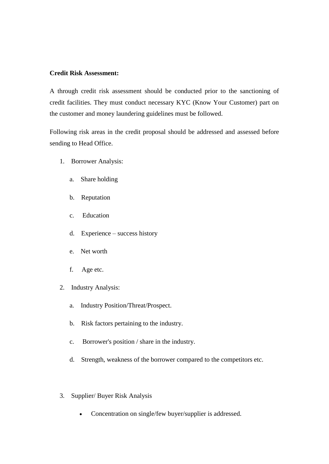#### **Credit Risk Assessment:**

A through credit risk assessment should be conducted prior to the sanctioning of credit facilities. They must conduct necessary KYC (Know Your Customer) part on the customer and money laundering guidelines must be followed.

Following risk areas in the credit proposal should be addressed and assessed before sending to Head Office.

- 1. Borrower Analysis:
	- a. Share holding
	- b. Reputation
	- c. Education
	- d. Experience success history
	- e. Net worth
	- f. Age etc.
- 2. Industry Analysis:
	- a. Industry Position/Threat/Prospect.
	- b. Risk factors pertaining to the industry.
	- c. Borrower's position / share in the industry.
	- d. Strength, weakness of the borrower compared to the competitors etc.
- 3. Supplier/ Buyer Risk Analysis
	- Concentration on single/few buyer/supplier is addressed.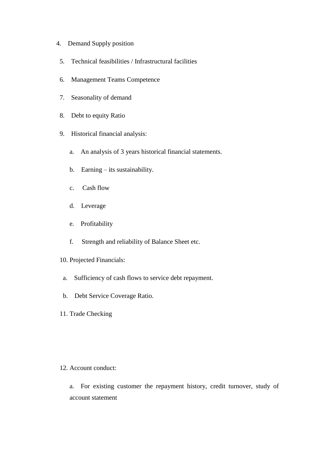# 4. Demand Supply position

- 5. Technical feasibilities / Infrastructural facilities
- 6. Management Teams Competence
- 7. Seasonality of demand
- 8. Debt to equity Ratio
- 9. Historical financial analysis:
	- a. An analysis of 3 years historical financial statements.
	- b. Earning its sustainability.
	- c. Cash flow
	- d. Leverage
	- e. Profitability
	- f. Strength and reliability of Balance Sheet etc.
- 10. Projected Financials:
- a. Sufficiency of cash flows to service debt repayment.
- b. Debt Service Coverage Ratio.
- 11. Trade Checking

# 12. Account conduct:

a. For existing customer the repayment history, credit turnover, study of account statement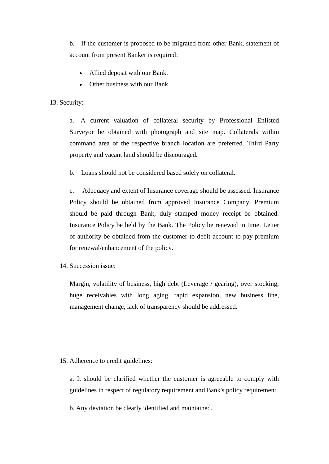b. If the customer is proposed to be migrated from other Bank, statement of account from present Banker is required:

- Allied deposit with our Bank.
- Other business with our Bank.

# 13. Security:

a. A current valuation of collateral security by Professional Enlisted Surveyor be obtained with photograph and site map. Collaterals within command area of the respective branch location are preferred. Third Party property and vacant land should be discouraged.

b. Loans should not be considered based solely on collateral.

c. Adequacy and extent of Insurance coverage should be assessed. Insurance Policy should be obtained from approved Insurance Company. Premium should be paid through Bank, duly stamped money receipt be obtained. Insurance Policy be held by the Bank. The Policy be renewed in time. Letter of authority be obtained from the customer to debit account to pay premium for renewal/enhancement of the policy.

14. Succession issue:

Margin, volatility of business, high debt (Leverage / gearing), over stocking, huge receivables with long aging, rapid expansion, new business line, management change, lack of transparency should be addressed.

# 15. Adherence to credit guidelines:

a. It should be clarified whether the customer is agreeable to comply with guidelines in respect of regulatory requirement and Bank's policy requirement.

b. Any deviation be clearly identified and maintained.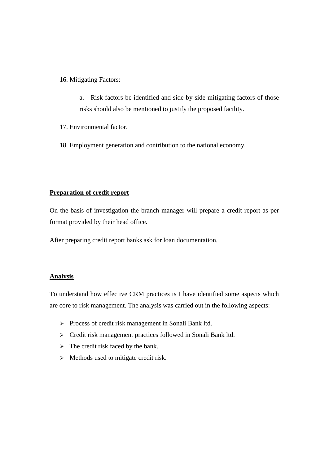16. Mitigating Factors:

a. Risk factors be identified and side by side mitigating factors of those risks should also be mentioned to justify the proposed facility.

17. Environmental factor.

18. Employment generation and contribution to the national economy.

# **Preparation of credit report**

On the basis of investigation the branch manager will prepare a credit report as per format provided by their head office.

After preparing credit report banks ask for loan documentation.

# **Analysis**

To understand how effective CRM practices is I have identified some aspects which are core to risk management. The analysis was carried out in the following aspects:

- > Process of credit risk management in Sonali Bank ltd.
- > Credit risk management practices followed in Sonali Bank ltd.
- $\triangleright$  The credit risk faced by the bank.
- $\triangleright$  Methods used to mitigate credit risk.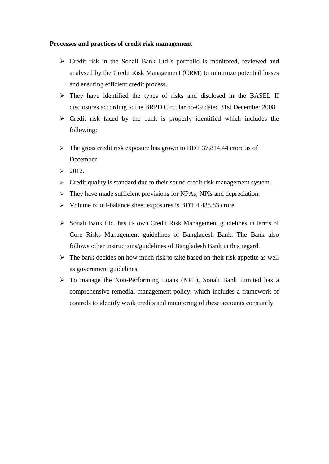#### **Processes and practices of credit risk management**

- Credit risk in the Sonali Bank Ltd.'s portfolio is monitored, reviewed and analysed by the Credit Risk Management (CRM) to minimize potential losses and ensuring efficient credit process.
- $\triangleright$  They have identified the types of risks and disclosed in the BASEL II disclosures according to the BRPD Circular no-09 dated 31st December 2008.
- $\triangleright$  Credit risk faced by the bank is properly identified which includes the following:
- $\triangleright$  The gross credit risk exposure has grown to BDT 37,814.44 crore as of December
- $\geq 2012$ .
- $\triangleright$  Credit quality is standard due to their sound credit risk management system.
- $\triangleright$  They have made sufficient provisions for NPAs, NPIs and depreciation.
- $\triangleright$  Volume of off-balance sheet exposures is BDT 4,438.83 crore.
- $\triangleright$  Sonali Bank Ltd. has its own Credit Risk Management guidelines in terms of Core Risks Management guidelines of Bangladesh Bank. The Bank also follows other instructions/guidelines of Bangladesh Bank in this regard.
- $\triangleright$  The bank decides on how much risk to take based on their risk appetite as well as government guidelines.
- To manage the Non-Performing Loans (NPL), Sonali Bank Limited has a comprehensive remedial management policy, which includes a framework of controls to identify weak credits and monitoring of these accounts constantly.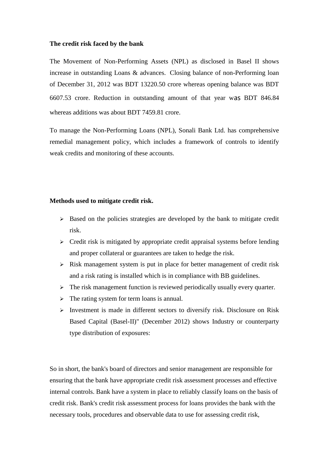#### **The credit risk faced by the bank**

The Movement of Non-Performing Assets (NPL) as disclosed in Basel II shows increase in outstanding Loans & advances. Closing balance of non-Performing loan of December 31, 2012 was BDT 13220.50 crore whereas opening balance was BDT 6607.53 crore. Reduction in outstanding amount of that year was BDT 846.84 whereas additions was about BDT 7459.81 crore.

To manage the Non-Performing Loans (NPL), Sonali Bank Ltd. has comprehensive remedial management policy, which includes a framework of controls to identify weak credits and monitoring of these accounts.

#### **Methods used to mitigate credit risk.**

- $\triangleright$  Based on the policies strategies are developed by the bank to mitigate credit risk.
- $\triangleright$  Credit risk is mitigated by appropriate credit appraisal systems before lending and proper collateral or guarantees are taken to hedge the risk.
- $\triangleright$  Risk management system is put in place for better management of credit risk and a risk rating is installed which is in compliance with BB guidelines.
- $\triangleright$  The risk management function is reviewed periodically usually every quarter.
- $\triangleright$  The rating system for term loans is annual.
- $\triangleright$  Investment is made in different sectors to diversify risk. Disclosure on Risk Based Capital (Basel-II)" (December 2012) shows Industry or counterparty type distribution of exposures:

So in short, the bank's board of directors and senior management are responsible for ensuring that the bank have appropriate credit risk assessment processes and effective internal controls. Bank have a system in place to reliably classify loans on the basis of credit risk. Bank's credit risk assessment process for loans provides the bank with the necessary tools, procedures and observable data to use for assessing credit risk,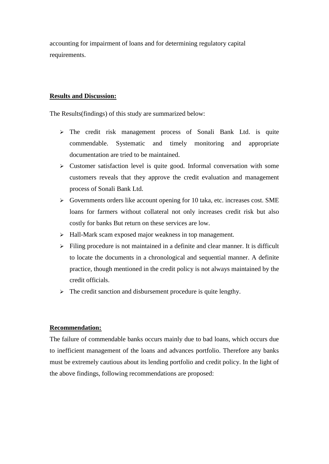accounting for impairment of loans and for determining regulatory capital requirements.

#### **Results and Discussion:**

The Results(findings) of this study are summarized below:

- $\geq$  The credit risk management process of Sonali Bank Ltd. is quite commendable. Systematic and timely monitoring and appropriate documentation are tried to be maintained.
- $\triangleright$  Customer satisfaction level is quite good. Informal conversation with some customers reveals that they approve the credit evaluation and management process of Sonali Bank Ltd.
- $\triangleright$  Governments orders like account opening for 10 taka, etc. increases cost. SME loans for farmers without collateral not only increases credit risk but also costly for banks But return on these services are low.
- $\triangleright$  Hall-Mark scam exposed major weakness in top management.
- $\triangleright$  Filing procedure is not maintained in a definite and clear manner. It is difficult to locate the documents in a chronological and sequential manner. A definite practice, though mentioned in the credit policy is not always maintained by the credit officials.
- $\triangleright$  The credit sanction and disbursement procedure is quite lengthy.

#### **Recommendation:**

The failure of commendable banks occurs mainly due to bad loans, which occurs due to inefficient management of the loans and advances portfolio. Therefore any banks must be extremely cautious about its lending portfolio and credit policy. In the light of the above findings, following recommendations are proposed: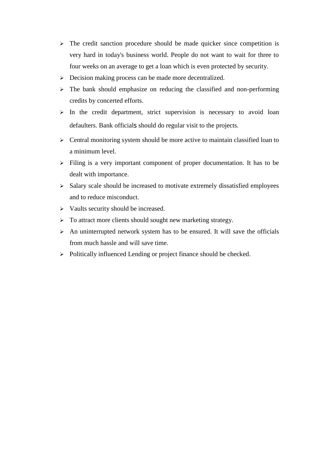- $\triangleright$  The credit sanction procedure should be made quicker since competition is very hard in today's business world. People do not want to wait for three to four weeks on an average to get a loan which is even protected by security.
- $\triangleright$  Decision making process can be made more decentralized.
- $\geq$  The bank should emphasize on reducing the classified and non-performing credits by concerted efforts.
- $\geq$  In the credit department, strict supervision is necessary to avoid loan defaulters. Bank officials should do regular visit to the projects.
- $\triangleright$  Central monitoring system should be more active to maintain classified loan to a minimum level.
- $\triangleright$  Filing is a very important component of proper documentation. It has to be dealt with importance.
- $\triangleright$  Salary scale should be increased to motivate extremely dissatisfied employees and to reduce misconduct.
- $\triangleright$  Vaults security should be increased.
- $\triangleright$  To attract more clients should sought new marketing strategy.
- $\triangleright$  An uninterrupted network system has to be ensured. It will save the officials from much hassle and will save time.
- $\triangleright$  Politically influenced Lending or project finance should be checked.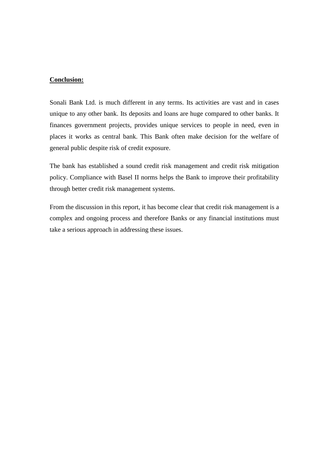#### **Conclusion:**

Sonali Bank Ltd. is much different in any terms. Its activities are vast and in cases unique to any other bank. Its deposits and loans are huge compared to other banks. It finances government projects, provides unique services to people in need, even in places it works as central bank. This Bank often make decision for the welfare of general public despite risk of credit exposure.

The bank has established a sound credit risk management and credit risk mitigation policy. Compliance with Basel II norms helps the Bank to improve their profitability through better credit risk management systems.

From the discussion in this report, it has become clear that credit risk management is a complex and ongoing process and therefore Banks or any financial institutions must take a serious approach in addressing these issues.